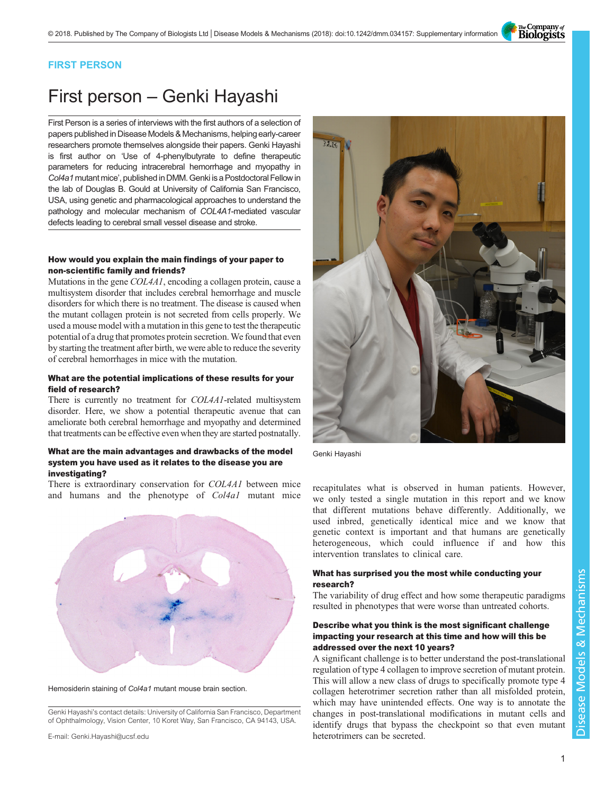The Company of<br>**Biologists** 

# FIRST PERSON

# First person – Genki Hayashi

First Person is a series of interviews with the first authors of a selection of papers published in Disease Models & Mechanisms, helping early-career researchers promote themselves alongside their papers. Genki Hayashi is first author on '[Use of 4-phenylbutyrate to define therapeutic](#page-1-0) [parameters for reducing intracerebral hemorrhage and myopathy in](#page-1-0) Col4a1 [mutant mice](#page-1-0)', published in DMM. Genki is a Postdoctoral Fellow in the lab of Douglas B. Gould at University of California San Francisco, USA, using genetic and pharmacological approaches to understand the pathology and molecular mechanism of COL4A1-mediated vascular defects leading to cerebral small vessel disease and stroke.

# How would you explain the main findings of your paper to non-scientific family and friends?

Mutations in the gene COL4A1, encoding a collagen protein, cause a multisystem disorder that includes cerebral hemorrhage and muscle disorders for which there is no treatment. The disease is caused when the mutant collagen protein is not secreted from cells properly. We used a mouse model with a mutation in this gene to test the therapeutic potential of a drug that promotes protein secretion. We found that even by starting the treatment after birth, we were able to reduce the severity of cerebral hemorrhages in mice with the mutation.

# What are the potential implications of these results for your field of research?

There is currently no treatment for COL4A1-related multisystem disorder. Here, we show a potential therapeutic avenue that can ameliorate both cerebral hemorrhage and myopathy and determined that treatments can be effective even when they are started postnatally.

### What are the main advantages and drawbacks of the model system you have used as it relates to the disease you are investigating?

There is extraordinary conservation for COL4A1 between mice There is extraordinary conservation for COL4A1 between mice<br>and humans and the phenotype of Col4a1 mutant mice we only tested a single mutation in this report and we know



Hemosiderin staining of Col4a1 mutant mouse brain section.

Genki Hayashi's contact details: University of California San Francisco, Department of Ophthalmology, Vision Center, 10 Koret Way, San Francisco, CA 94143, USA.



Genki Hayashi

we only tested a single mutation in this report and we know that different mutations behave differently. Additionally, we used inbred, genetically identical mice and we know that genetic context is important and that humans are genetically heterogeneous, which could influence if and how this intervention translates to clinical care.

# What has surprised you the most while conducting your research?

The variability of drug effect and how some therapeutic paradigms resulted in phenotypes that were worse than untreated cohorts.

# Describe what you think is the most significant challenge impacting your research at this time and how will this be addressed over the next 10 years?

A significant challenge is to better understand the post-translational regulation of type 4 collagen to improve secretion of mutant protein. This will allow a new class of drugs to specifically promote type 4 collagen heterotrimer secretion rather than all misfolded protein, which may have unintended effects. One way is to annotate the changes in post-translational modifications in mutant cells and identify drugs that bypass the checkpoint so that even mutant heterotrimers can be secreted.